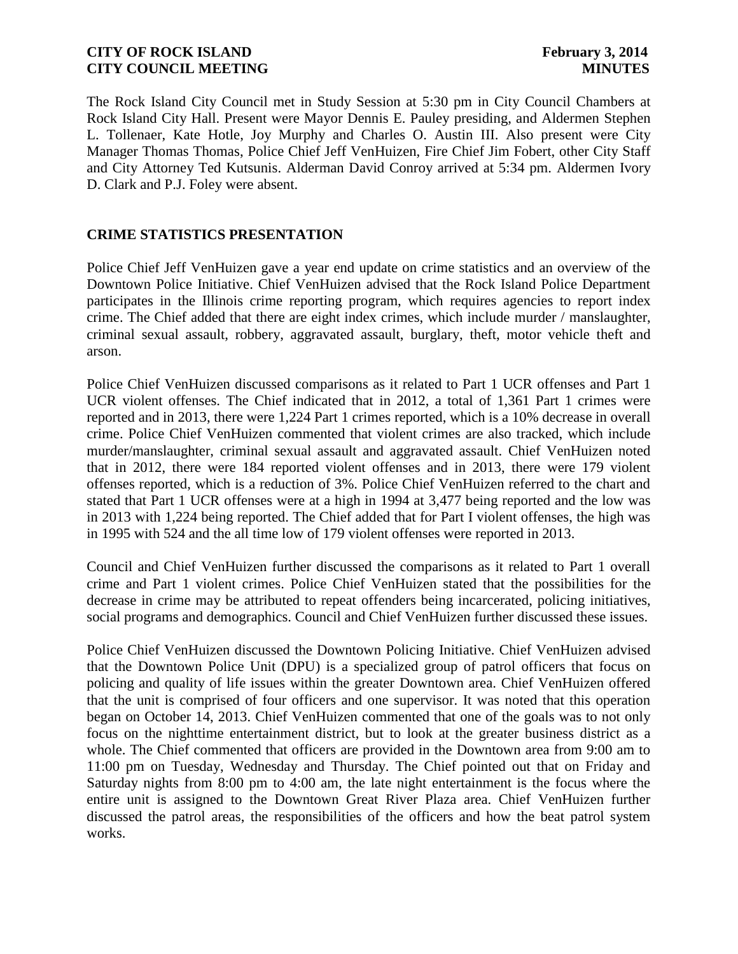The Rock Island City Council met in Study Session at 5:30 pm in City Council Chambers at Rock Island City Hall. Present were Mayor Dennis E. Pauley presiding, and Aldermen Stephen L. Tollenaer, Kate Hotle, Joy Murphy and Charles O. Austin III. Also present were City Manager Thomas Thomas, Police Chief Jeff VenHuizen, Fire Chief Jim Fobert, other City Staff and City Attorney Ted Kutsunis. Alderman David Conroy arrived at 5:34 pm. Aldermen Ivory D. Clark and P.J. Foley were absent.

# **CRIME STATISTICS PRESENTATION**

Police Chief Jeff VenHuizen gave a year end update on crime statistics and an overview of the Downtown Police Initiative. Chief VenHuizen advised that the Rock Island Police Department participates in the Illinois crime reporting program, which requires agencies to report index crime. The Chief added that there are eight index crimes, which include murder / manslaughter, criminal sexual assault, robbery, aggravated assault, burglary, theft, motor vehicle theft and arson.

Police Chief VenHuizen discussed comparisons as it related to Part 1 UCR offenses and Part 1 UCR violent offenses. The Chief indicated that in 2012, a total of 1,361 Part 1 crimes were reported and in 2013, there were 1,224 Part 1 crimes reported, which is a 10% decrease in overall crime. Police Chief VenHuizen commented that violent crimes are also tracked, which include murder/manslaughter, criminal sexual assault and aggravated assault. Chief VenHuizen noted that in 2012, there were 184 reported violent offenses and in 2013, there were 179 violent offenses reported, which is a reduction of 3%. Police Chief VenHuizen referred to the chart and stated that Part 1 UCR offenses were at a high in 1994 at 3,477 being reported and the low was in 2013 with 1,224 being reported. The Chief added that for Part I violent offenses, the high was in 1995 with 524 and the all time low of 179 violent offenses were reported in 2013.

Council and Chief VenHuizen further discussed the comparisons as it related to Part 1 overall crime and Part 1 violent crimes. Police Chief VenHuizen stated that the possibilities for the decrease in crime may be attributed to repeat offenders being incarcerated, policing initiatives, social programs and demographics. Council and Chief VenHuizen further discussed these issues.

Police Chief VenHuizen discussed the Downtown Policing Initiative. Chief VenHuizen advised that the Downtown Police Unit (DPU) is a specialized group of patrol officers that focus on policing and quality of life issues within the greater Downtown area. Chief VenHuizen offered that the unit is comprised of four officers and one supervisor. It was noted that this operation began on October 14, 2013. Chief VenHuizen commented that one of the goals was to not only focus on the nighttime entertainment district, but to look at the greater business district as a whole. The Chief commented that officers are provided in the Downtown area from 9:00 am to 11:00 pm on Tuesday, Wednesday and Thursday. The Chief pointed out that on Friday and Saturday nights from 8:00 pm to 4:00 am, the late night entertainment is the focus where the entire unit is assigned to the Downtown Great River Plaza area. Chief VenHuizen further discussed the patrol areas, the responsibilities of the officers and how the beat patrol system works.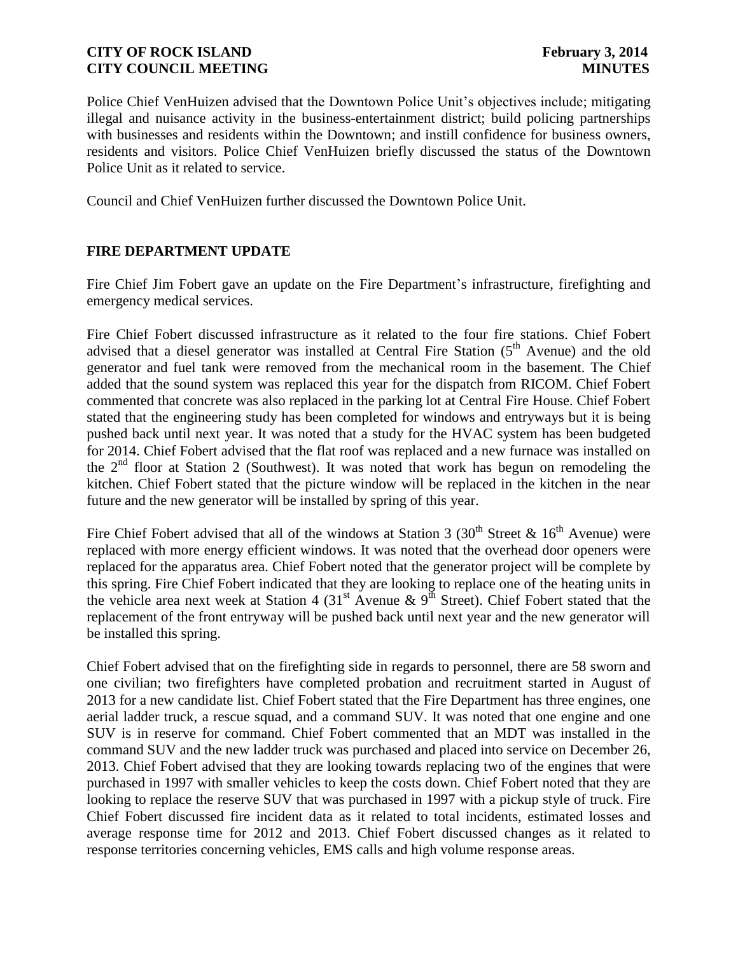Police Chief VenHuizen advised that the Downtown Police Unit's objectives include; mitigating illegal and nuisance activity in the business-entertainment district; build policing partnerships with businesses and residents within the Downtown; and instill confidence for business owners, residents and visitors. Police Chief VenHuizen briefly discussed the status of the Downtown Police Unit as it related to service.

Council and Chief VenHuizen further discussed the Downtown Police Unit.

# **FIRE DEPARTMENT UPDATE**

Fire Chief Jim Fobert gave an update on the Fire Department's infrastructure, firefighting and emergency medical services.

Fire Chief Fobert discussed infrastructure as it related to the four fire stations. Chief Fobert advised that a diesel generator was installed at Central Fire Station  $(5<sup>th</sup>$  Avenue) and the old generator and fuel tank were removed from the mechanical room in the basement. The Chief added that the sound system was replaced this year for the dispatch from RICOM. Chief Fobert commented that concrete was also replaced in the parking lot at Central Fire House. Chief Fobert stated that the engineering study has been completed for windows and entryways but it is being pushed back until next year. It was noted that a study for the HVAC system has been budgeted for 2014. Chief Fobert advised that the flat roof was replaced and a new furnace was installed on the  $2<sup>nd</sup>$  floor at Station 2 (Southwest). It was noted that work has begun on remodeling the kitchen. Chief Fobert stated that the picture window will be replaced in the kitchen in the near future and the new generator will be installed by spring of this year.

Fire Chief Fobert advised that all of the windows at Station 3 (30<sup>th</sup> Street & 16<sup>th</sup> Avenue) were replaced with more energy efficient windows. It was noted that the overhead door openers were replaced for the apparatus area. Chief Fobert noted that the generator project will be complete by this spring. Fire Chief Fobert indicated that they are looking to replace one of the heating units in the vehicle area next week at Station 4 (31<sup>st</sup> Avenue & 9<sup>th</sup> Street). Chief Fobert stated that the replacement of the front entryway will be pushed back until next year and the new generator will be installed this spring.

Chief Fobert advised that on the firefighting side in regards to personnel, there are 58 sworn and one civilian; two firefighters have completed probation and recruitment started in August of 2013 for a new candidate list. Chief Fobert stated that the Fire Department has three engines, one aerial ladder truck, a rescue squad, and a command SUV. It was noted that one engine and one SUV is in reserve for command. Chief Fobert commented that an MDT was installed in the command SUV and the new ladder truck was purchased and placed into service on December 26, 2013. Chief Fobert advised that they are looking towards replacing two of the engines that were purchased in 1997 with smaller vehicles to keep the costs down. Chief Fobert noted that they are looking to replace the reserve SUV that was purchased in 1997 with a pickup style of truck. Fire Chief Fobert discussed fire incident data as it related to total incidents, estimated losses and average response time for 2012 and 2013. Chief Fobert discussed changes as it related to response territories concerning vehicles, EMS calls and high volume response areas.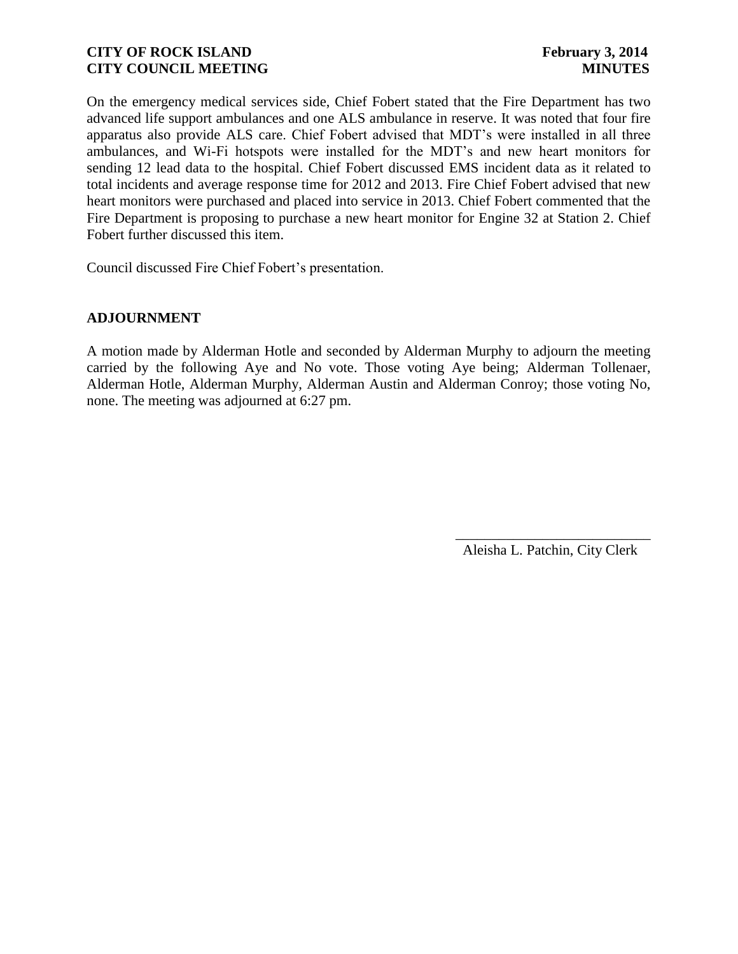On the emergency medical services side, Chief Fobert stated that the Fire Department has two advanced life support ambulances and one ALS ambulance in reserve. It was noted that four fire apparatus also provide ALS care. Chief Fobert advised that MDT's were installed in all three ambulances, and Wi-Fi hotspots were installed for the MDT's and new heart monitors for sending 12 lead data to the hospital. Chief Fobert discussed EMS incident data as it related to total incidents and average response time for 2012 and 2013. Fire Chief Fobert advised that new heart monitors were purchased and placed into service in 2013. Chief Fobert commented that the Fire Department is proposing to purchase a new heart monitor for Engine 32 at Station 2. Chief Fobert further discussed this item.

Council discussed Fire Chief Fobert's presentation.

#### **ADJOURNMENT**

A motion made by Alderman Hotle and seconded by Alderman Murphy to adjourn the meeting carried by the following Aye and No vote. Those voting Aye being; Alderman Tollenaer, Alderman Hotle, Alderman Murphy, Alderman Austin and Alderman Conroy; those voting No, none. The meeting was adjourned at 6:27 pm.

> \_\_\_\_\_\_\_\_\_\_\_\_\_\_\_\_\_\_\_\_\_\_\_\_\_\_\_ Aleisha L. Patchin, City Clerk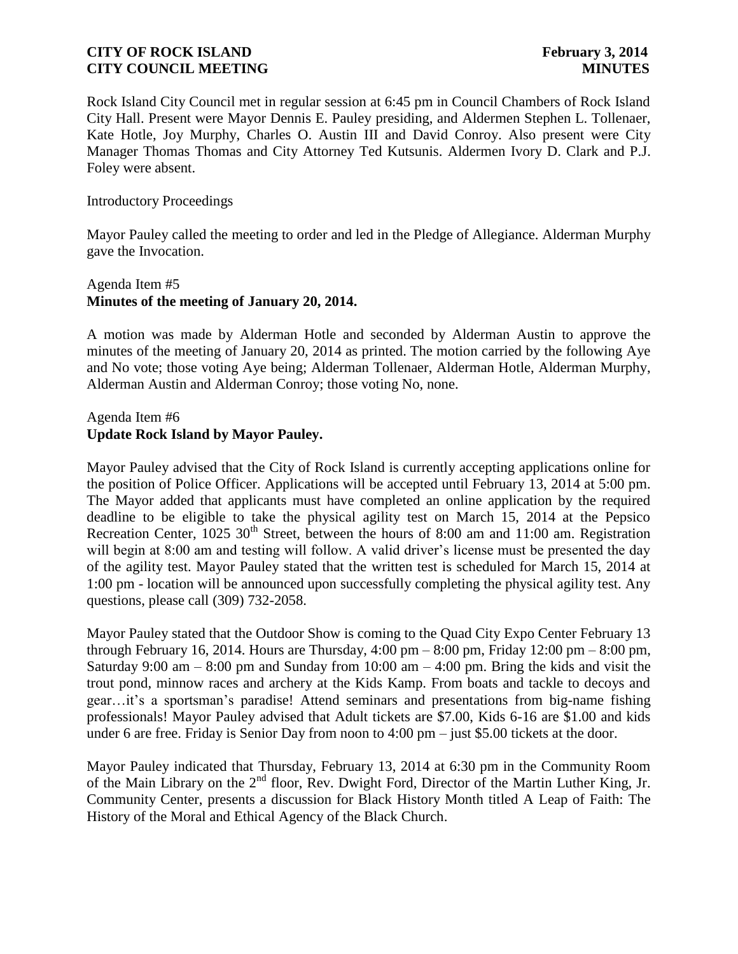Rock Island City Council met in regular session at 6:45 pm in Council Chambers of Rock Island City Hall. Present were Mayor Dennis E. Pauley presiding, and Aldermen Stephen L. Tollenaer, Kate Hotle, Joy Murphy, Charles O. Austin III and David Conroy. Also present were City Manager Thomas Thomas and City Attorney Ted Kutsunis. Aldermen Ivory D. Clark and P.J. Foley were absent.

#### Introductory Proceedings

Mayor Pauley called the meeting to order and led in the Pledge of Allegiance. Alderman Murphy gave the Invocation.

# Agenda Item #5 **Minutes of the meeting of January 20, 2014.**

A motion was made by Alderman Hotle and seconded by Alderman Austin to approve the minutes of the meeting of January 20, 2014 as printed. The motion carried by the following Aye and No vote; those voting Aye being; Alderman Tollenaer, Alderman Hotle, Alderman Murphy, Alderman Austin and Alderman Conroy; those voting No, none.

# Agenda Item #6 **Update Rock Island by Mayor Pauley.**

Mayor Pauley advised that the City of Rock Island is currently accepting applications online for the position of Police Officer. Applications will be accepted until February 13, 2014 at 5:00 pm. The Mayor added that applicants must have completed an online application by the required deadline to be eligible to take the physical agility test on March 15, 2014 at the Pepsico Recreation Center,  $1025 \cdot 30^{th}$  Street, between the hours of 8:00 am and 11:00 am. Registration will begin at 8:00 am and testing will follow. A valid driver's license must be presented the day of the agility test. Mayor Pauley stated that the written test is scheduled for March 15, 2014 at 1:00 pm - location will be announced upon successfully completing the physical agility test. Any questions, please call (309) 732-2058.

Mayor Pauley stated that the Outdoor Show is coming to the Quad City Expo Center February 13 through February 16, 2014. Hours are Thursday,  $4:00 \text{ pm} - 8:00 \text{ pm}$ , Friday 12:00 pm – 8:00 pm, Saturday 9:00 am  $-$  8:00 pm and Sunday from 10:00 am  $-$  4:00 pm. Bring the kids and visit the trout pond, minnow races and archery at the Kids Kamp. From boats and tackle to decoys and gear…it's a sportsman's paradise! Attend seminars and presentations from big-name fishing professionals! Mayor Pauley advised that Adult tickets are \$7.00, Kids 6-16 are \$1.00 and kids under 6 are free. Friday is Senior Day from noon to 4:00 pm – just \$5.00 tickets at the door.

Mayor Pauley indicated that Thursday, February 13, 2014 at 6:30 pm in the Community Room of the Main Library on the 2nd floor, Rev. Dwight Ford, Director of the Martin Luther King, Jr. Community Center, presents a discussion for Black History Month titled A Leap of Faith: The History of the Moral and Ethical Agency of the Black Church.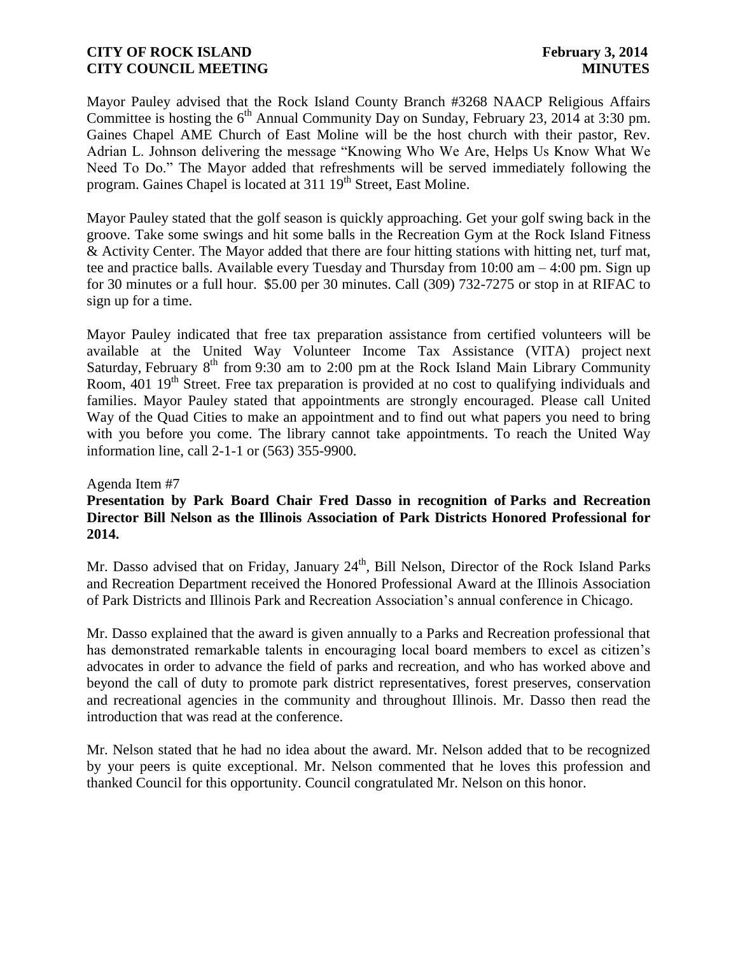Mayor Pauley advised that the Rock Island County Branch #3268 NAACP Religious Affairs Committee is hosting the  $6<sup>th</sup>$  Annual Community Day on Sunday, February 23, 2014 at 3:30 pm. Gaines Chapel AME Church of East Moline will be the host church with their pastor, Rev. Adrian L. Johnson delivering the message "Knowing Who We Are, Helps Us Know What We Need To Do." The Mayor added that refreshments will be served immediately following the program. Gaines Chapel is located at 311 19<sup>th</sup> Street, East Moline.

Mayor Pauley stated that the golf season is quickly approaching. Get your golf swing back in the groove. Take some swings and hit some balls in the Recreation Gym at the Rock Island Fitness & Activity Center. The Mayor added that there are four hitting stations with hitting net, turf mat, tee and practice balls. Available every Tuesday and Thursday from 10:00 am – 4:00 pm. Sign up for 30 minutes or a full hour. \$5.00 per 30 minutes. Call (309) 732-7275 or stop in at RIFAC to sign up for a time.

Mayor Pauley indicated that free tax preparation assistance from certified volunteers will be available at the United Way Volunteer Income Tax Assistance (VITA) project next Saturday, February  $8<sup>th</sup>$  from 9:30 am to 2:00 pm at the Rock Island Main Library Community Room, 401 19<sup>th</sup> Street. Free tax preparation is provided at no cost to qualifying individuals and families. Mayor Pauley stated that appointments are strongly encouraged. Please call United Way of the Quad Cities to make an appointment and to find out what papers you need to bring with you before you come. The library cannot take appointments. To reach the United Way information line, call 2-1-1 or [\(563\) 355-9900.](tel:%28563%29%20355-9900)

#### Agenda Item #7

## **Presentation by Park Board Chair Fred Dasso in recognition of Parks and Recreation Director Bill Nelson as the Illinois Association of Park Districts Honored Professional for 2014.**

Mr. Dasso advised that on Friday, January  $24<sup>th</sup>$ , Bill Nelson, Director of the Rock Island Parks and Recreation Department received the Honored Professional Award at the Illinois Association of Park Districts and Illinois Park and Recreation Association's annual conference in Chicago.

Mr. Dasso explained that the award is given annually to a Parks and Recreation professional that has demonstrated remarkable talents in encouraging local board members to excel as citizen's advocates in order to advance the field of parks and recreation, and who has worked above and beyond the call of duty to promote park district representatives, forest preserves, conservation and recreational agencies in the community and throughout Illinois. Mr. Dasso then read the introduction that was read at the conference.

Mr. Nelson stated that he had no idea about the award. Mr. Nelson added that to be recognized by your peers is quite exceptional. Mr. Nelson commented that he loves this profession and thanked Council for this opportunity. Council congratulated Mr. Nelson on this honor.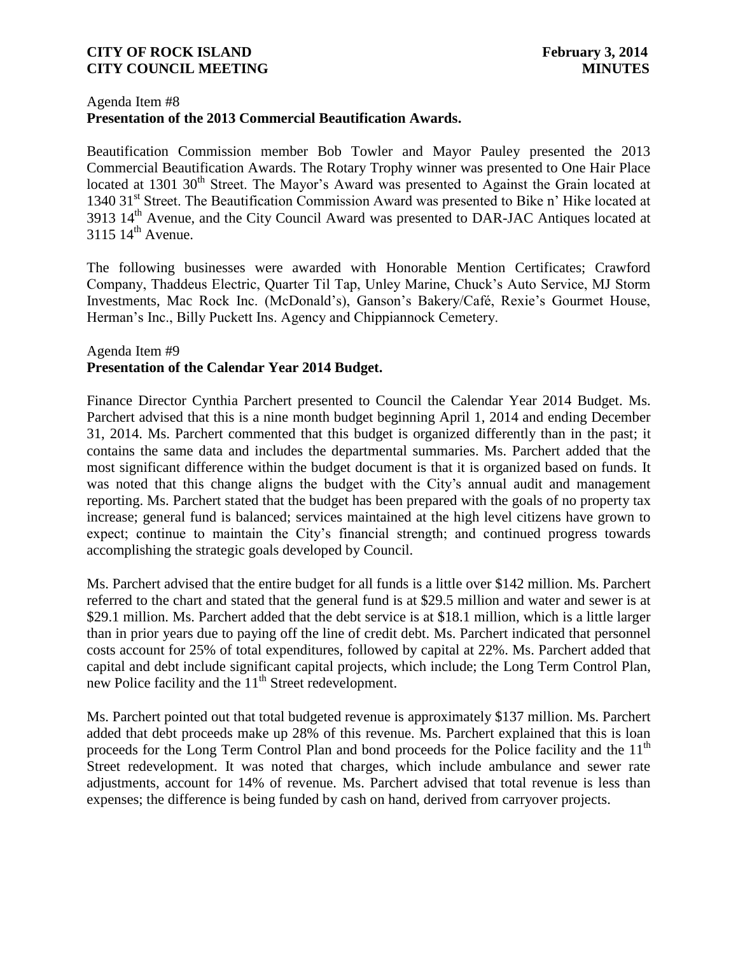#### Agenda Item #8

# **Presentation of the 2013 Commercial Beautification Awards.**

Beautification Commission member Bob Towler and Mayor Pauley presented the 2013 Commercial Beautification Awards. The Rotary Trophy winner was presented to One Hair Place located at 1301 30<sup>th</sup> Street. The Mayor's Award was presented to Against the Grain located at 1340 31<sup>st</sup> Street. The Beautification Commission Award was presented to Bike n' Hike located at 3913 14<sup>th</sup> Avenue, and the City Council Award was presented to DAR-JAC Antiques located at  $3115 \frac{14^{\text{th}}}{\text{Average}}$ .

The following businesses were awarded with Honorable Mention Certificates; Crawford Company, Thaddeus Electric, Quarter Til Tap, Unley Marine, Chuck's Auto Service, MJ Storm Investments, Mac Rock Inc. (McDonald's), Ganson's Bakery/Café, Rexie's Gourmet House, Herman's Inc., Billy Puckett Ins. Agency and Chippiannock Cemetery.

## Agenda Item #9 **Presentation of the Calendar Year 2014 Budget.**

Finance Director Cynthia Parchert presented to Council the Calendar Year 2014 Budget. Ms. Parchert advised that this is a nine month budget beginning April 1, 2014 and ending December 31, 2014. Ms. Parchert commented that this budget is organized differently than in the past; it contains the same data and includes the departmental summaries. Ms. Parchert added that the most significant difference within the budget document is that it is organized based on funds. It was noted that this change aligns the budget with the City's annual audit and management reporting. Ms. Parchert stated that the budget has been prepared with the goals of no property tax increase; general fund is balanced; services maintained at the high level citizens have grown to expect; continue to maintain the City's financial strength; and continued progress towards accomplishing the strategic goals developed by Council.

Ms. Parchert advised that the entire budget for all funds is a little over \$142 million. Ms. Parchert referred to the chart and stated that the general fund is at \$29.5 million and water and sewer is at \$29.1 million. Ms. Parchert added that the debt service is at \$18.1 million, which is a little larger than in prior years due to paying off the line of credit debt. Ms. Parchert indicated that personnel costs account for 25% of total expenditures, followed by capital at 22%. Ms. Parchert added that capital and debt include significant capital projects, which include; the Long Term Control Plan, new Police facility and the  $11<sup>th</sup>$  Street redevelopment.

Ms. Parchert pointed out that total budgeted revenue is approximately \$137 million. Ms. Parchert added that debt proceeds make up 28% of this revenue. Ms. Parchert explained that this is loan proceeds for the Long Term Control Plan and bond proceeds for the Police facility and the 11<sup>th</sup> Street redevelopment. It was noted that charges, which include ambulance and sewer rate adjustments, account for 14% of revenue. Ms. Parchert advised that total revenue is less than expenses; the difference is being funded by cash on hand, derived from carryover projects.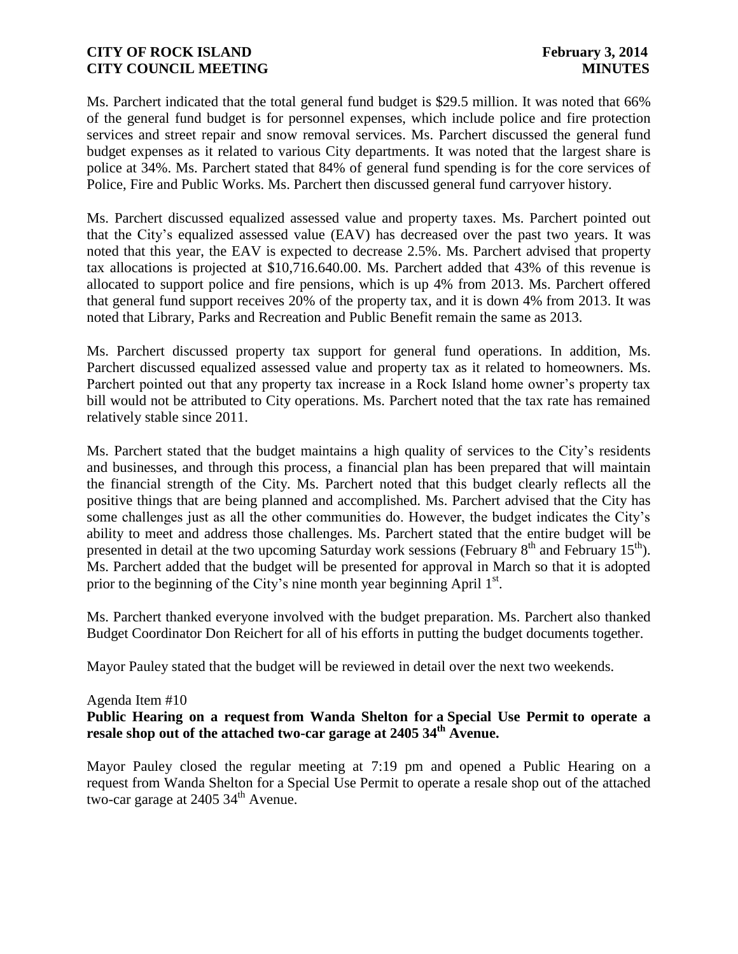Ms. Parchert indicated that the total general fund budget is \$29.5 million. It was noted that 66% of the general fund budget is for personnel expenses, which include police and fire protection services and street repair and snow removal services. Ms. Parchert discussed the general fund budget expenses as it related to various City departments. It was noted that the largest share is police at 34%. Ms. Parchert stated that 84% of general fund spending is for the core services of Police, Fire and Public Works. Ms. Parchert then discussed general fund carryover history.

Ms. Parchert discussed equalized assessed value and property taxes. Ms. Parchert pointed out that the City's equalized assessed value (EAV) has decreased over the past two years. It was noted that this year, the EAV is expected to decrease 2.5%. Ms. Parchert advised that property tax allocations is projected at \$10,716.640.00. Ms. Parchert added that 43% of this revenue is allocated to support police and fire pensions, which is up 4% from 2013. Ms. Parchert offered that general fund support receives 20% of the property tax, and it is down 4% from 2013. It was noted that Library, Parks and Recreation and Public Benefit remain the same as 2013.

Ms. Parchert discussed property tax support for general fund operations. In addition, Ms. Parchert discussed equalized assessed value and property tax as it related to homeowners. Ms. Parchert pointed out that any property tax increase in a Rock Island home owner's property tax bill would not be attributed to City operations. Ms. Parchert noted that the tax rate has remained relatively stable since 2011.

Ms. Parchert stated that the budget maintains a high quality of services to the City's residents and businesses, and through this process, a financial plan has been prepared that will maintain the financial strength of the City. Ms. Parchert noted that this budget clearly reflects all the positive things that are being planned and accomplished. Ms. Parchert advised that the City has some challenges just as all the other communities do. However, the budget indicates the City's ability to meet and address those challenges. Ms. Parchert stated that the entire budget will be presented in detail at the two upcoming Saturday work sessions (February 8<sup>th</sup> and February 15<sup>th</sup>). Ms. Parchert added that the budget will be presented for approval in March so that it is adopted prior to the beginning of the City's nine month year beginning April  $1<sup>st</sup>$ .

Ms. Parchert thanked everyone involved with the budget preparation. Ms. Parchert also thanked Budget Coordinator Don Reichert for all of his efforts in putting the budget documents together.

Mayor Pauley stated that the budget will be reviewed in detail over the next two weekends.

#### Agenda Item #10

# **Public Hearing on a request from Wanda Shelton for a Special Use Permit to operate a resale shop out of the attached two-car garage at 2405 34th Avenue.**

Mayor Pauley closed the regular meeting at 7:19 pm and opened a Public Hearing on a request from Wanda Shelton for a Special Use Permit to operate a resale shop out of the attached two-car garage at 2405 34<sup>th</sup> Avenue.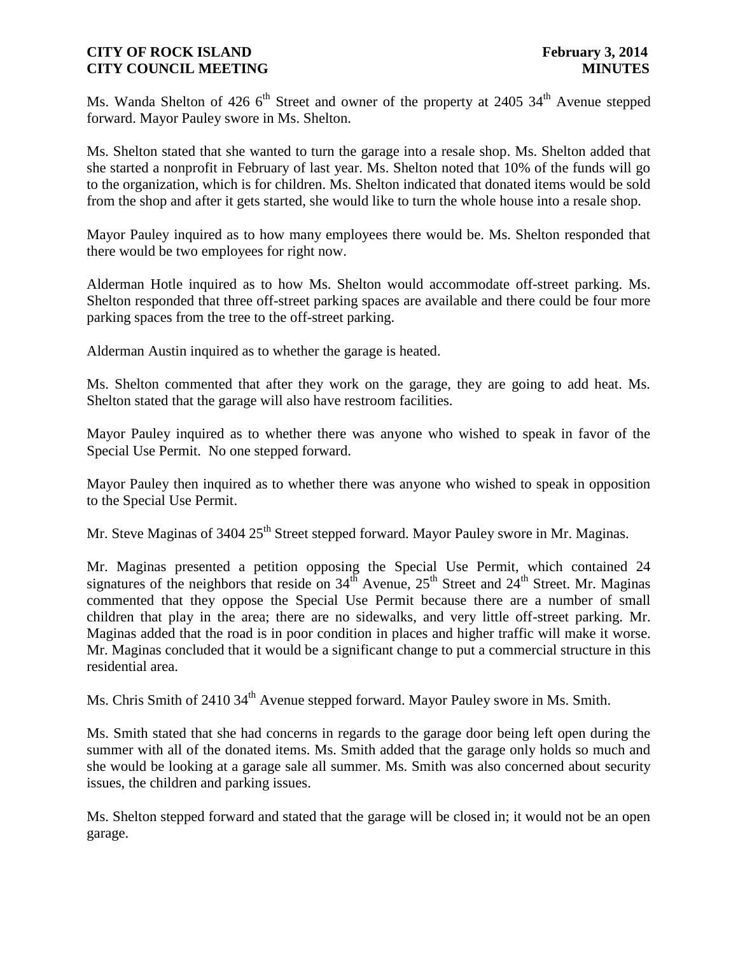Ms. Wanda Shelton of 426 6<sup>th</sup> Street and owner of the property at 2405 34<sup>th</sup> Avenue stepped forward. Mayor Pauley swore in Ms. Shelton.

Ms. Shelton stated that she wanted to turn the garage into a resale shop. Ms. Shelton added that she started a nonprofit in February of last year. Ms. Shelton noted that 10% of the funds will go to the organization, which is for children. Ms. Shelton indicated that donated items would be sold from the shop and after it gets started, she would like to turn the whole house into a resale shop.

Mayor Pauley inquired as to how many employees there would be. Ms. Shelton responded that there would be two employees for right now.

Alderman Hotle inquired as to how Ms. Shelton would accommodate off-street parking. Ms. Shelton responded that three off-street parking spaces are available and there could be four more parking spaces from the tree to the off-street parking.

Alderman Austin inquired as to whether the garage is heated.

Ms. Shelton commented that after they work on the garage, they are going to add heat. Ms. Shelton stated that the garage will also have restroom facilities.

Mayor Pauley inquired as to whether there was anyone who wished to speak in favor of the Special Use Permit. No one stepped forward.

Mayor Pauley then inquired as to whether there was anyone who wished to speak in opposition to the Special Use Permit.

Mr. Steve Maginas of 3404 25<sup>th</sup> Street stepped forward. Mayor Pauley swore in Mr. Maginas.

Mr. Maginas presented a petition opposing the Special Use Permit, which contained 24 signatures of the neighbors that reside on  $34<sup>th</sup>$  Avenue,  $25<sup>th</sup>$  Street and  $24<sup>th</sup>$  Street. Mr. Maginas commented that they oppose the Special Use Permit because there are a number of small children that play in the area; there are no sidewalks, and very little off-street parking. Mr. Maginas added that the road is in poor condition in places and higher traffic will make it worse. Mr. Maginas concluded that it would be a significant change to put a commercial structure in this residential area.

Ms. Chris Smith of 2410 34<sup>th</sup> Avenue stepped forward. Mayor Pauley swore in Ms. Smith.

Ms. Smith stated that she had concerns in regards to the garage door being left open during the summer with all of the donated items. Ms. Smith added that the garage only holds so much and she would be looking at a garage sale all summer. Ms. Smith was also concerned about security issues, the children and parking issues.

Ms. Shelton stepped forward and stated that the garage will be closed in; it would not be an open garage.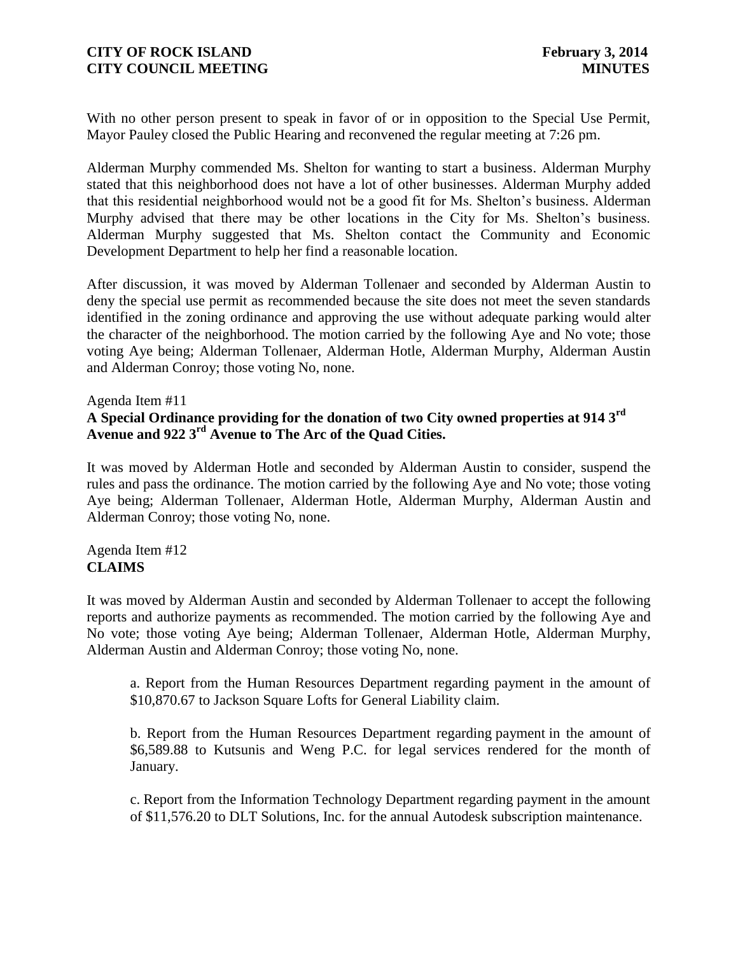With no other person present to speak in favor of or in opposition to the Special Use Permit, Mayor Pauley closed the Public Hearing and reconvened the regular meeting at 7:26 pm.

Alderman Murphy commended Ms. Shelton for wanting to start a business. Alderman Murphy stated that this neighborhood does not have a lot of other businesses. Alderman Murphy added that this residential neighborhood would not be a good fit for Ms. Shelton's business. Alderman Murphy advised that there may be other locations in the City for Ms. Shelton's business. Alderman Murphy suggested that Ms. Shelton contact the Community and Economic Development Department to help her find a reasonable location.

After discussion, it was moved by Alderman Tollenaer and seconded by Alderman Austin to deny the special use permit as recommended because the site does not meet the seven standards identified in the zoning ordinance and approving the use without adequate parking would alter the character of the neighborhood. The motion carried by the following Aye and No vote; those voting Aye being; Alderman Tollenaer, Alderman Hotle, Alderman Murphy, Alderman Austin and Alderman Conroy; those voting No, none.

Agenda Item #11

# **A Special Ordinance providing for the donation of two City owned properties at 914 3rd Avenue and 922 3rd Avenue to The Arc of the Quad Cities.**

It was moved by Alderman Hotle and seconded by Alderman Austin to consider, suspend the rules and pass the ordinance. The motion carried by the following Aye and No vote; those voting Aye being; Alderman Tollenaer, Alderman Hotle, Alderman Murphy, Alderman Austin and Alderman Conroy; those voting No, none.

#### Agenda Item #12 **CLAIMS**

It was moved by Alderman Austin and seconded by Alderman Tollenaer to accept the following reports and authorize payments as recommended. The motion carried by the following Aye and No vote; those voting Aye being; Alderman Tollenaer, Alderman Hotle, Alderman Murphy, Alderman Austin and Alderman Conroy; those voting No, none.

a. Report from the Human Resources Department regarding payment in the amount of \$10,870.67 to Jackson Square Lofts for General Liability claim.

b. Report from the Human Resources Department regarding payment in the amount of \$6,589.88 to Kutsunis and Weng P.C. for legal services rendered for the month of January.

c. Report from the Information Technology Department regarding payment in the amount of \$11,576.20 to DLT Solutions, Inc. for the annual Autodesk subscription maintenance.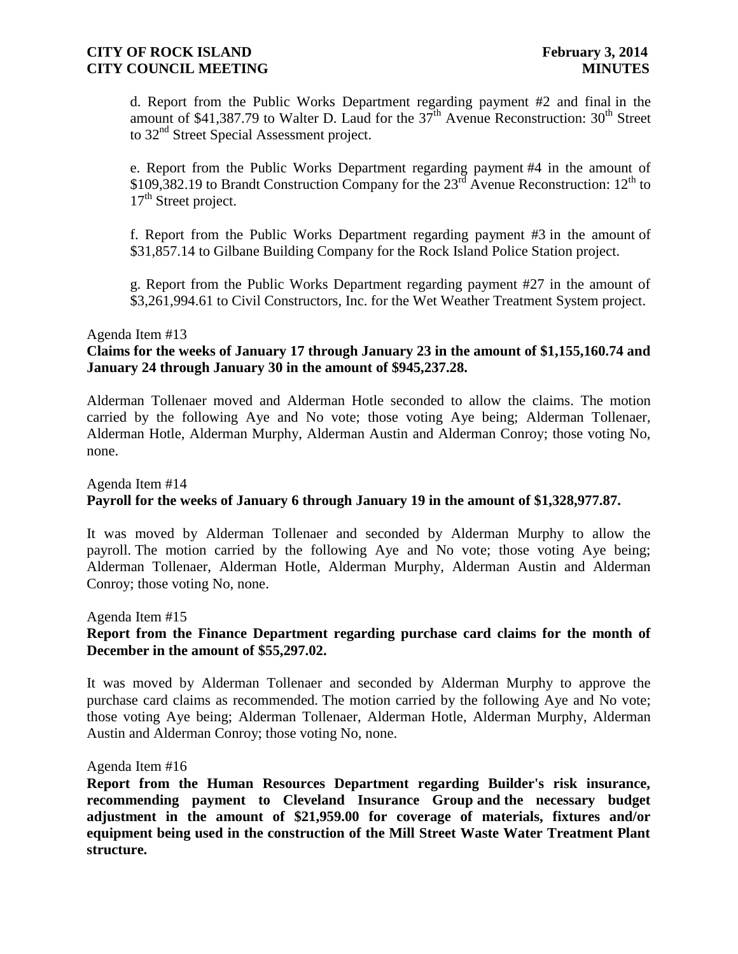d. Report from the Public Works Department regarding payment #2 and final in the amount of \$41,387.79 to Walter D. Laud for the  $37<sup>th</sup>$  Avenue Reconstruction:  $30<sup>th</sup>$  Street to 32<sup>nd</sup> Street Special Assessment project.

e. Report from the Public Works Department regarding payment #4 in the amount of \$109,382.19 to Brandt Construction Company for the  $23<sup>rd</sup>$  Avenue Reconstruction:  $12<sup>th</sup>$  to  $17<sup>th</sup>$  Street project.

f. Report from the Public Works Department regarding payment #3 in the amount of \$31,857.14 to Gilbane Building Company for the Rock Island Police Station project.

g. Report from the Public Works Department regarding payment #27 in the amount of \$3,261,994.61 to Civil Constructors, Inc. for the Wet Weather Treatment System project.

#### Agenda Item #13

#### **Claims for the weeks of January 17 through January 23 in the amount of \$1,155,160.74 and January 24 through January 30 in the amount of \$945,237.28.**

Alderman Tollenaer moved and Alderman Hotle seconded to allow the claims. The motion carried by the following Aye and No vote; those voting Aye being; Alderman Tollenaer, Alderman Hotle, Alderman Murphy, Alderman Austin and Alderman Conroy; those voting No, none.

## Agenda Item #14 **Payroll for the weeks of January 6 through January 19 in the amount of \$1,328,977.87.**

It was moved by Alderman Tollenaer and seconded by Alderman Murphy to allow the payroll. The motion carried by the following Aye and No vote; those voting Aye being; Alderman Tollenaer, Alderman Hotle, Alderman Murphy, Alderman Austin and Alderman Conroy; those voting No, none.

## Agenda Item #15 **Report from the Finance Department regarding purchase card claims for the month of December in the amount of \$55,297.02.**

It was moved by Alderman Tollenaer and seconded by Alderman Murphy to approve the purchase card claims as recommended. The motion carried by the following Aye and No vote; those voting Aye being; Alderman Tollenaer, Alderman Hotle, Alderman Murphy, Alderman Austin and Alderman Conroy; those voting No, none.

#### Agenda Item #16

**Report from the Human Resources Department regarding Builder's risk insurance, recommending payment to Cleveland Insurance Group and the necessary budget adjustment in the amount of \$21,959.00 for coverage of materials, fixtures and/or equipment being used in the construction of the Mill Street Waste Water Treatment Plant structure.**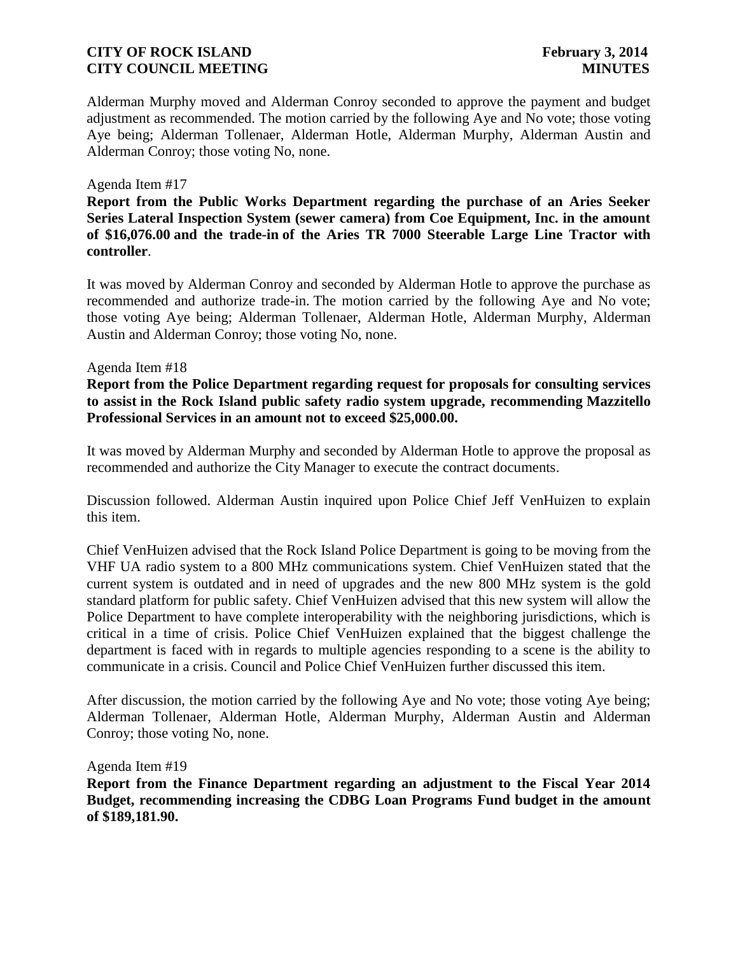Alderman Murphy moved and Alderman Conroy seconded to approve the payment and budget adjustment as recommended. The motion carried by the following Aye and No vote; those voting Aye being; Alderman Tollenaer, Alderman Hotle, Alderman Murphy, Alderman Austin and Alderman Conroy; those voting No, none.

#### Agenda Item #17

**Report from the Public Works Department regarding the purchase of an Aries Seeker Series Lateral Inspection System (sewer camera) from Coe Equipment, Inc. in the amount of \$16,076.00 and the trade-in of the Aries TR 7000 Steerable Large Line Tractor with controller**.

It was moved by Alderman Conroy and seconded by Alderman Hotle to approve the purchase as recommended and authorize trade-in. The motion carried by the following Aye and No vote; those voting Aye being; Alderman Tollenaer, Alderman Hotle, Alderman Murphy, Alderman Austin and Alderman Conroy; those voting No, none.

#### Agenda Item #18

**Report from the Police Department regarding request for proposals for consulting services to assist in the Rock Island public safety radio system upgrade, recommending Mazzitello Professional Services in an amount not to exceed \$25,000.00.**

It was moved by Alderman Murphy and seconded by Alderman Hotle to approve the proposal as recommended and authorize the City Manager to execute the contract documents.

Discussion followed. Alderman Austin inquired upon Police Chief Jeff VenHuizen to explain this item.

Chief VenHuizen advised that the Rock Island Police Department is going to be moving from the VHF UA radio system to a 800 MHz communications system. Chief VenHuizen stated that the current system is outdated and in need of upgrades and the new 800 MHz system is the gold standard platform for public safety. Chief VenHuizen advised that this new system will allow the Police Department to have complete interoperability with the neighboring jurisdictions, which is critical in a time of crisis. Police Chief VenHuizen explained that the biggest challenge the department is faced with in regards to multiple agencies responding to a scene is the ability to communicate in a crisis. Council and Police Chief VenHuizen further discussed this item.

After discussion, the motion carried by the following Aye and No vote; those voting Aye being; Alderman Tollenaer, Alderman Hotle, Alderman Murphy, Alderman Austin and Alderman Conroy; those voting No, none.

Agenda Item #19

**Report from the Finance Department regarding an adjustment to the Fiscal Year 2014 Budget, recommending increasing the CDBG Loan Programs Fund budget in the amount of \$189,181.90.**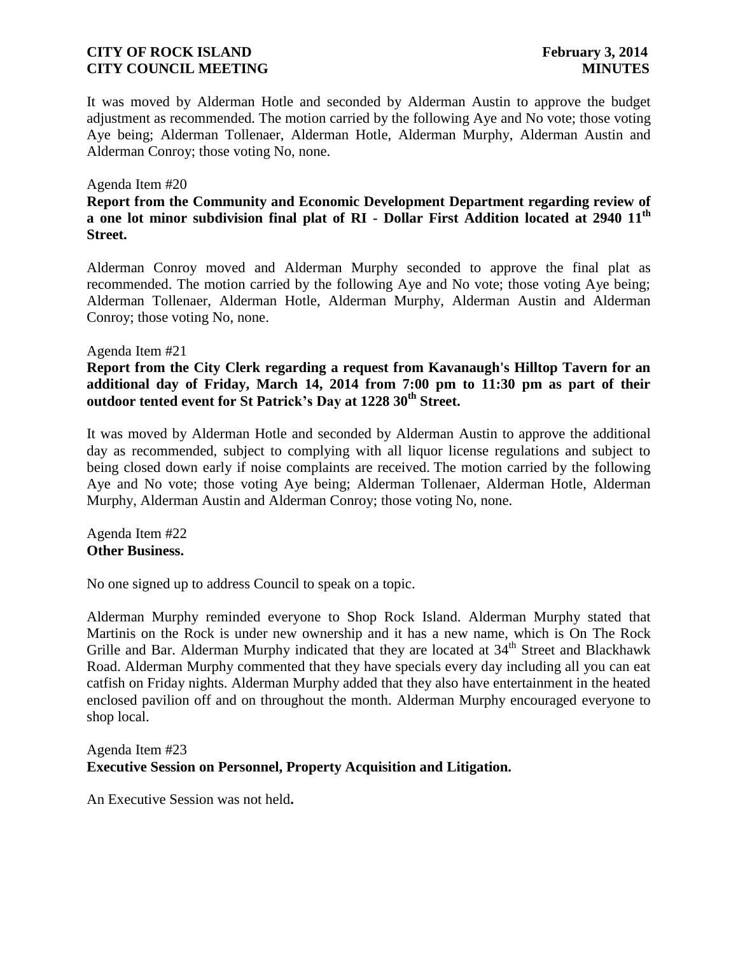It was moved by Alderman Hotle and seconded by Alderman Austin to approve the budget adjustment as recommended. The motion carried by the following Aye and No vote; those voting Aye being; Alderman Tollenaer, Alderman Hotle, Alderman Murphy, Alderman Austin and Alderman Conroy; those voting No, none.

#### Agenda Item #20

**Report from the Community and Economic Development Department regarding review of a one lot minor subdivision final plat of RI - Dollar First Addition located at 2940 11th Street.**

Alderman Conroy moved and Alderman Murphy seconded to approve the final plat as recommended. The motion carried by the following Aye and No vote; those voting Aye being; Alderman Tollenaer, Alderman Hotle, Alderman Murphy, Alderman Austin and Alderman Conroy; those voting No, none.

#### Agenda Item #21

**Report from the City Clerk regarding a request from Kavanaugh's Hilltop Tavern for an additional day of Friday, March 14, 2014 from 7:00 pm to 11:30 pm as part of their outdoor tented event for St Patrick's Day at 1228 30th Street.**

It was moved by Alderman Hotle and seconded by Alderman Austin to approve the additional day as recommended, subject to complying with all liquor license regulations and subject to being closed down early if noise complaints are received. The motion carried by the following Aye and No vote; those voting Aye being; Alderman Tollenaer, Alderman Hotle, Alderman Murphy, Alderman Austin and Alderman Conroy; those voting No, none.

Agenda Item #22 **Other Business.**

No one signed up to address Council to speak on a topic.

Alderman Murphy reminded everyone to Shop Rock Island. Alderman Murphy stated that Martinis on the Rock is under new ownership and it has a new name, which is On The Rock Grille and Bar. Alderman Murphy indicated that they are located at 34<sup>th</sup> Street and Blackhawk Road. Alderman Murphy commented that they have specials every day including all you can eat catfish on Friday nights. Alderman Murphy added that they also have entertainment in the heated enclosed pavilion off and on throughout the month. Alderman Murphy encouraged everyone to shop local.

## Agenda Item #23 **Executive Session on Personnel, Property Acquisition and Litigation.**

An Executive Session was not held**.**